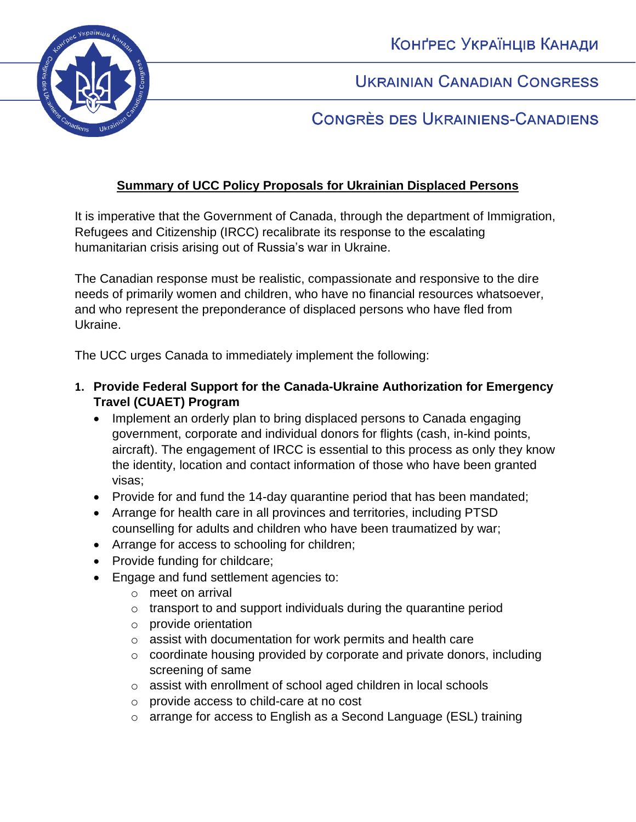КОНҐРЕС УКРАЇНЦІВ КАНАДИ



**UKRAINIAN CANADIAN CONGRESS** 

# CONGRÈS DES UKRAINIENS-CANADIENS

## **Summary of UCC Policy Proposals for Ukrainian Displaced Persons**

It is imperative that the Government of Canada, through the department of Immigration, Refugees and Citizenship (IRCC) recalibrate its response to the escalating humanitarian crisis arising out of Russia's war in Ukraine.

The Canadian response must be realistic, compassionate and responsive to the dire needs of primarily women and children, who have no financial resources whatsoever, and who represent the preponderance of displaced persons who have fled from Ukraine.

The UCC urges Canada to immediately implement the following:

- **1. Provide Federal Support for the Canada-Ukraine Authorization for Emergency Travel (CUAET) Program**
	- Implement an orderly plan to bring displaced persons to Canada engaging government, corporate and individual donors for flights (cash, in-kind points, aircraft). The engagement of IRCC is essential to this process as only they know the identity, location and contact information of those who have been granted visas;
	- Provide for and fund the 14-day quarantine period that has been mandated;
	- Arrange for health care in all provinces and territories, including PTSD counselling for adults and children who have been traumatized by war;
	- Arrange for access to schooling for children;
	- Provide funding for childcare;
	- Engage and fund settlement agencies to:
		- o meet on arrival
		- $\circ$  transport to and support individuals during the quarantine period
		- o provide orientation
		- o assist with documentation for work permits and health care
		- o coordinate housing provided by corporate and private donors, including screening of same
		- o assist with enrollment of school aged children in local schools
		- o provide access to child-care at no cost
		- o arrange for access to English as a Second Language (ESL) training